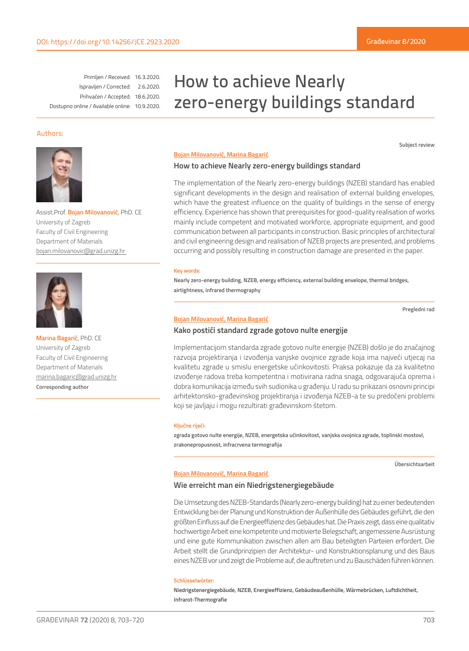Primljen / Received: 16.3.2020. Ispravljen / Corrected: 2.6.2020. Prihvaćen / Accepted: 18.6.2020. Dostupno online / Available online: 10.9.2020.

# How to achieve Nearly zero-energy buildings standard

# Authors:



Assist.Prof. **Bojan Milovanović**, PhD. CE University of Zagreb Faculty of Civil Engineering Department of Materials bojan.milovanovic@grad.unizg.hr



**Marina Bagarić**, PhD. CE University of Zagreb Faculty of Civil Engineering Department of Materials marina.bagaric@grad.unizg.hr **Corresponding author**

#### **Bojan Milovanović, Marina Bagarić**

## **How to achieve Nearly zero-energy buildings standard**

The implementation of the Nearly zero-energy buildings (NZEB) standard has enabled significant developments in the design and realisation of external building envelopes, which have the greatest influence on the quality of buildings in the sense of energy efficiency. Experience has shown that prerequisites for good-quality realisation of works mainly include competent and motivated workforce, appropriate equipment, and good communication between all participants in construction. Basic principles of architectural and civil engineering design and realisation of NZEB projects are presented, and problems occurring and possibly resulting in construction damage are presented in the paper.

#### **Key words:**

**Nearly zero-energy building, NZEB, energy efficiency, external building envelope, thermal bridges, airtightness, infrared thermography**

**Pregledni rad**

**Subject review**

#### **Bojan Milovanović, Marina Bagarić**

# **Kako postići standard zgrade gotovo nulte energije**

Implementacijom standarda zgrade gotovo nulte energije (NZEB) došlo je do značajnog razvoja projektiranja i izvođenja vanjske ovojnice zgrade koja ima najveći utjecaj na kvalitetu zgrade u smislu energetske učinkovitosti. Praksa pokazuje da za kvalitetno izvođenje radova treba kompetentna i motivirana radna snaga, odgovarajuća oprema i dobra komunikacija između svih sudionika u građenju. U radu su prikazani osnovni principi arhitektonsko-građevinskog projektiranja i izvođenja NZEB-a te su predočeni problemi koji se javljaju i mogu rezultirati građevinskom štetom.

#### **Ključne riječi:**

**zgrada gotovo nulte energije, NZEB, energetska učinkovitost, vanjska ovojnica zgrade, toplinski mostovi, zrakonepropusnost, infracrvena termografija**

**Übersichtsarbeit**

#### **Bojan Milovanović, Marina Bagarić**

# **Wie erreicht man ein Niedrigstenergiegebäude**

Die Umsetzung des NZEB-Standards (Nearly zero-energy building) hat zu einer bedeutenden Entwicklung bei der Planung und Konstruktion der Außenhülle des Gebäudes geführt, die den größten Einfluss auf die Energieeffizienz des Gebäudes hat. Die Praxis zeigt, dass eine qualitativ hochwertige Arbeit eine kompetente und motivierte Belegschaft, angemessene Ausrüstung und eine gute Kommunikation zwischen allen am Bau beteiligten Parteien erfordert. Die Arbeit stellt die Grundprinzipien der Architektur- und Konstruktionsplanung und des Baus eines NZEB vor und zeigt die Probleme auf, die auftreten und zu Bauschäden führen können.

#### **Schlüsselwörter:**

**Niedrigstenergiegebäude, NZEB, Energieeffizienz, Gebäudeaußenhülle, Wärmebrücken, Luftdichtheit, Infrarot-Thermografie**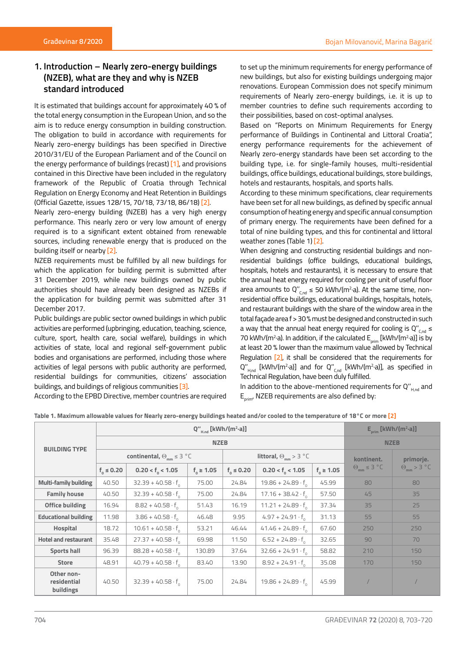# **1. Introduction – Nearly zero-energy buildings (NZEB), what are they and why is NZEB standard introduced**

It is estimated that buildings account for approximately 40 % of the total energy consumption in the European Union, and so the aim is to reduce energy consumption in building construction. The obligation to build in accordance with requirements for Nearly zero-energy buildings has been specified in Directive 2010/31/EU of the European Parliament and of the Council on the energy performance of buildings (recast) [1], and provisions contained in this Directive have been included in the regulatory framework of the Republic of Croatia through Technical Regulation on Energy Economy and Heat Retention in Buildings (Official Gazette, issues 128/15, 70/18, 73/18, 86/18) [2].

Nearly zero-energy building (NZEB) has a very high energy performance. This nearly zero or very low amount of energy required is to a significant extent obtained from renewable sources, including renewable energy that is produced on the building itself or nearby [2].

NZEB requirements must be fulfilled by all new buildings for which the application for building permit is submitted after 31 December 2019, while new buildings owned by public authorities should have already been designed as NZEBs if the application for building permit was submitted after 31 December 2017.

Public buildings are public sector owned buildings in which public activities are performed (upbringing, education, teaching, science, culture, sport, health care, social welfare), buildings in which activities of state, local and regional self-government public bodies and organisations are performed, including those where activities of legal persons with public authority are performed, residential buildings for communities, citizens' association buildings, and buildings of religious communities [3].

to set up the minimum requirements for energy performance of new buildings, but also for existing buildings undergoing major renovations. European Commission does not specify minimum requirements of Nearly zero-energy buildings, i.e. it is up to member countries to define such requirements according to their possibilities, based on cost-optimal analyses.

Based on "Reports on Minimum Requirements for Energy performance of Buildings in Continental and Littoral Croatia", energy performance requirements for the achievement of Nearly zero-energy standards have been set according to the building type, i.e. for single-family houses, multi-residential buildings, office buildings, educational buildings, store buildings, hotels and restaurants, hospitals, and sports halls.

According to these minimum specifications, clear requirements have been set for all new buildings, as defined by specific annual consumption of heating energy and specific annual consumption of primary energy. The requirements have been defined for a total of nine building types, and this for continental and littoral weather zones (Table 1) [2].

When designing and constructing residential buildings and nonresidential buildings (office buildings, educational buildings, hospitals, hotels and restaurants), it is necessary to ensure that the annual heat energy required for cooling per unit of useful floor area amounts to Q" $_{C,nd}$   $\leq$  50 kWh/(m<sup>2,</sup>a). At the same time, nonresidential office buildings, educational buildings, hospitals, hotels, and restaurant buildings with the share of the window area in the total façade area f > 30 % must be designed and constructed in such a way that the annual heat energy required for cooling is  $Q''_{C,nd}$   $\leq$ 70 kWh/(m<sup>2,</sup>a). In addition, if the calculated  $E_{\text{prim}}$  [kWh/(m<sup>2,</sup>a)] is by at least 20 % lower than the maximum value allowed by Technical Regulation [2], it shall be considered that the requirements for  $Q''_{H,nd}$  [kWh/(m<sup>2</sup>·a)] and for  $Q''_{C,nd}$  [kWh/(m<sup>2</sup>·a)], as specified in Technical Regulation, have been duly fulfilled.

In addition to the above-mentioned requirements for  $Q_{H_{nd}}$  and  $E_{\text{prime}}$ , NZEB requirements are also defined by:

According to the EPBD Directive, member countries are required

| <b>BUILDING TYPE</b>                   |                                      |                             | $E_{\text{prim}}$ [kWh/(m <sup>2</sup> ·a)] |                                |                             |                  |                                |                      |
|----------------------------------------|--------------------------------------|-----------------------------|---------------------------------------------|--------------------------------|-----------------------------|------------------|--------------------------------|----------------------|
|                                        |                                      |                             | <b>NZEB</b>                                 |                                |                             |                  |                                |                      |
|                                        | continental, $\Theta_{mm} \leq 3$ °C |                             |                                             | littoral, $\Theta_{mm} > 3$ °C |                             |                  | kontinent.                     | primorje.            |
|                                        | $f_{0} \le 0.20$                     | $0.20 < f_{0} < 1.05$       | $f_{0} \ge 1.05$                            | $f_0 \le 0.20$                 | $0.20 < f_0 < 1.05$         | $f_{0} \ge 1.05$ | $\Theta_{mm} \leq 3 \degree C$ | $\Theta_{mm}$ > 3 °C |
| <b>Multi-family building</b>           | 40.50                                | $32.39 + 40.58 \cdot f_{0}$ | 75.00                                       | 24.84                          | $19.86 + 24.89 \cdot f_{0}$ | 45.99            | 80                             | 80                   |
| <b>Family house</b>                    | 40.50                                | $32.39 + 40.58 \cdot f_{0}$ | 75.00                                       | 24.84                          | $17.16 + 38.42 \cdot f$     | 57.50            | 45                             | 35                   |
| Office building                        | 16.94                                | $8.82 + 40.58 \cdot f_{0}$  | 51.43                                       | 16.19                          | $11.21 + 24.89 \cdot f_{0}$ | 37.34            | 35                             | 25                   |
| <b>Educational building</b>            | 11.98                                | $3.86 + 40.58 \cdot f$      | 46.48                                       | 9.95                           | $4.97 + 24.91 \cdot f$      | 31.13            | 55                             | 55                   |
| Hospital                               | 18.72                                | $10.61 + 40.58 \cdot f_{0}$ | 53.21                                       | 46.44                          | $41.46 + 24.89 \cdot f_{0}$ | 67.60            | 250                            | 250                  |
| <b>Hotel and restaurant</b>            | 35.48                                | $27.37 + 40.58 \cdot f_{0}$ | 69.98                                       | 11.50                          | $6.52 + 24.89 \cdot f_{0}$  | 32.65            | 90                             | 70                   |
| <b>Sports hall</b>                     | 96.39                                | $88.28 + 40.58 \cdot f$     | 130.89                                      | 37.64                          | $32.66 + 24.91 \cdot f_{0}$ | 58.82            | 210                            | 150                  |
| <b>Store</b>                           | 48.91                                | $40.79 + 40.58 \cdot f_{0}$ | 83.40                                       | 13.90                          | $8.92 + 24.91 \cdot f_{0}$  | 35.08            | 170                            | 150                  |
| Other non-<br>residential<br>buildings | 40.50                                | $32.39 + 40.58 \cdot f_{0}$ | 75.00                                       | 24.84                          | $19.86 + 24.89 \cdot f_{0}$ | 45.99            |                                |                      |

**Table 1. Maximum allowable values for Nearly zero-energy buildings heated and/or cooled to the temperature of 18°C or more [2]**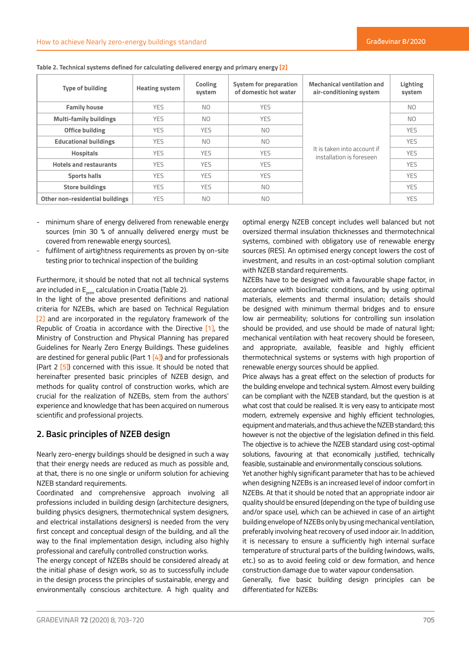| <b>Type of building</b>         | <b>Heating system</b> | Cooling<br>system | System for preparation<br>of domestic hot water | <b>Mechanical ventilation and</b><br>air-conditioning system | Lighting<br>system |
|---------------------------------|-----------------------|-------------------|-------------------------------------------------|--------------------------------------------------------------|--------------------|
| <b>Family house</b>             | <b>YES</b>            | <b>NO</b>         | <b>YES</b>                                      |                                                              | N <sub>O</sub>     |
| <b>Multi-family buildings</b>   | <b>YES</b>            | N <sub>O</sub>    | <b>YES</b>                                      |                                                              | N <sub>O</sub>     |
| Office building                 | <b>YES</b>            | <b>YES</b>        | N <sub>O</sub>                                  |                                                              | <b>YES</b>         |
| <b>Educational buildings</b>    | <b>YES</b>            | <b>NO</b>         | N <sub>O</sub>                                  |                                                              | <b>YES</b>         |
| <b>Hospitals</b>                | <b>YES</b>            | <b>YES</b>        | <b>YES</b>                                      | It is taken into account if<br>installation is foreseen      | <b>YES</b>         |
| <b>Hotels and restaurants</b>   | <b>YES</b>            | <b>YES</b>        | <b>YES</b>                                      |                                                              | <b>YES</b>         |
| <b>Sports halls</b>             | <b>YES</b>            | <b>YES</b>        | <b>YES</b>                                      |                                                              | <b>YES</b>         |
| <b>Store buildings</b>          | <b>YES</b>            | <b>YES</b>        | N <sub>O</sub>                                  |                                                              | <b>YES</b>         |
| Other non-residential buildings | <b>YES</b>            | N <sub>O</sub>    | NO.                                             |                                                              | <b>YES</b>         |

**Table 2. Technical systems defined for calculating delivered energy and primary energy [2]**

- minimum share of energy delivered from renewable energy sources (min 30 % of annually delivered energy must be covered from renewable energy sources),
- fulfilment of airtightness requirements as proven by on-site testing prior to technical inspection of the building

Furthermore, it should be noted that not all technical systems are included in  $E_{\text{prime}}$  calculation in Croatia (Table 2).

In the light of the above presented definitions and national criteria for NZEBs, which are based on Technical Regulation [2] and are incorporated in the regulatory framework of the Republic of Croatia in accordance with the Directive [1], the Ministry of Construction and Physical Planning has prepared Guidelines for Nearly Zero Energy Buildings. These guidelines are destined for general public (Part  $1$  [4]) and for professionals (Part 2 [5]) concerned with this issue. It should be noted that hereinafter presented basic principles of NZEB design, and methods for quality control of construction works, which are crucial for the realization of NZEBs, stem from the authors' experience and knowledge that has been acquired on numerous scientific and professional projects.

# **2. Basic principles of NZEB design**

Nearly zero-energy buildings should be designed in such a way that their energy needs are reduced as much as possible and, at that, there is no one single or uniform solution for achieving NZEB standard requirements.

Coordinated and comprehensive approach involving all professions included in building design (architecture designers, building physics designers, thermotechnical system designers, and electrical installations designers) is needed from the very first concept and conceptual design of the building, and all the way to the final implementation design, including also highly professional and carefully controlled construction works.

The energy concept of NZEBs should be considered already at the initial phase of design work, so as to successfully include in the design process the principles of sustainable, energy and environmentally conscious architecture. A high quality and optimal energy NZEB concept includes well balanced but not oversized thermal insulation thicknesses and thermotechnical systems, combined with obligatory use of renewable energy sources (RES). An optimised energy concept lowers the cost of investment, and results in an cost-optimal solution compliant with NZEB standard requirements.

NZEBs have to be designed with a favourable shape factor, in accordance with bioclimatic conditions, and by using optimal materials, elements and thermal insulation; details should be designed with minimum thermal bridges and to ensure low air permeability; solutions for controlling sun insolation should be provided, and use should be made of natural light; mechanical ventilation with heat recovery should be foreseen, and appropriate, available, feasible and highly efficient thermotechnical systems or systems with high proportion of renewable energy sources should be applied.

Price always has a great effect on the selection of products for the building envelope and technical system. Almost every building can be compliant with the NZEB standard, but the question is at what cost that could be realised. It is very easy to anticipate most modern, extremely expensive and highly efficient technologies, equipment and materials, and thus achieve the NZEB standard; this however is not the objective of the legislation defined in this field. The objective is to achieve the NZEB standard using cost-optimal solutions, favouring at that economically justified, technically feasible, sustainable and environmentally conscious solutions.

Yet another highly significant parameter that has to be achieved when designing NZEBs is an increased level of indoor comfort in NZEBs. At that it should be noted that an appropriate indoor air quality should be ensured (depending on the type of building use and/or space use), which can be achieved in case of an airtight building envelope of NZEBs only by using mechanical ventilation, preferably involving heat recovery of used indoor air. In addition, it is necessary to ensure a sufficiently high internal surface temperature of structural parts of the building (windows, walls, etc.) so as to avoid feeling cold or dew formation, and hence construction damage due to water vapour condensation.

Generally, five basic building design principles can be differentiated for NZEBs: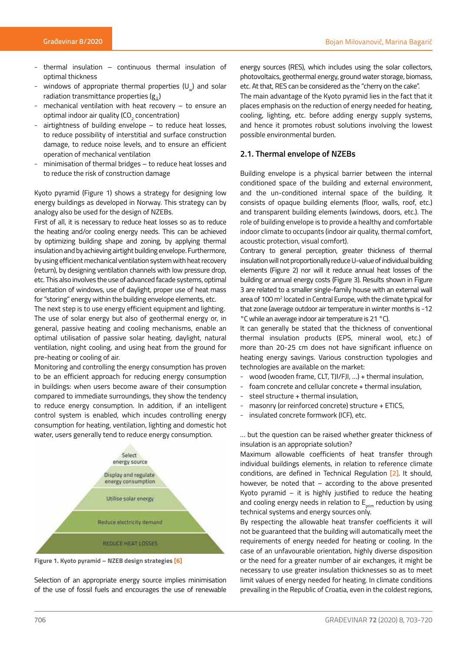- thermal insulation continuous thermal insulation of optimal thickness
- windows of appropriate thermal properties  $(U_{u})$  and solar radiation transmittance properties  $(g_1)$
- mechanical ventilation with heat recovery  $-$  to ensure an optimal indoor air quality (CO $_{\rm 2}$  concentration)
- $airti$ ghtness of building envelope  $-$  to reduce heat losses, to reduce possibility of interstitial and surface construction damage, to reduce noise levels, and to ensure an efficient operation of mechanical ventilation
- minimisation of thermal bridges to reduce heat losses and to reduce the risk of construction damage

Kyoto pyramid (Figure 1) shows a strategy for designing low energy buildings as developed in Norway. This strategy can by analogy also be used for the design of NZEBs.

First of all, it is necessary to reduce heat losses so as to reduce the heating and/or cooling energy needs. This can be achieved by optimizing building shape and zoning, by applying thermal insulation and by achieving airtight building envelope. Furthermore, by using efficient mechanical ventilation system with heat recovery (return), by designing ventilation channels with low pressure drop, etc. This also involves the use of advanced facade systems, optimal orientation of windows, use of daylight, proper use of heat mass for "storing" energy within the building envelope elements, etc.

The next step is to use energy efficient equipment and lighting. The use of solar energy but also of geothermal energy or, in general, passive heating and cooling mechanisms, enable an optimal utilisation of passive solar heating, daylight, natural ventilation, night cooling, and using heat from the ground for pre-heating or cooling of air.

Monitoring and controlling the energy consumption has proven to be an efficient approach for reducing energy consumption in buildings: when users become aware of their consumption compared to immediate surroundings, they show the tendency to reduce energy consumption. In addition, if an intelligent control system is enabled, which incudes controlling energy consumption for heating, ventilation, lighting and domestic hot water, users generally tend to reduce energy consumption.



**Figure 1. Kyoto pyramid – NZEB design strategies [6]**

Selection of an appropriate energy source implies minimisation of the use of fossil fuels and encourages the use of renewable

energy sources (RES), which includes using the solar collectors, photovoltaics, geothermal energy, ground water storage, biomass, etc. At that, RES can be considered as the "cherry on the cake".

The main advantage of the Kyoto pyramid lies in the fact that it places emphasis on the reduction of energy needed for heating, cooling, lighting, etc. before adding energy supply systems, and hence it promotes robust solutions involving the lowest possible environmental burden.

## **2.1. Thermal envelope of NZEBs**

Building envelope is a physical barrier between the internal conditioned space of the building and external environment, and the un-conditioned internal space of the building. It consists of opaque building elements (floor, walls, roof, etc.) and transparent building elements (windows, doors, etc.). The role of building envelope is to provide a healthy and comfortable indoor climate to occupants (indoor air quality, thermal comfort, acoustic protection, visual comfort).

Contrary to general perception, greater thickness of thermal insulation will not proportionally reduce U-value of individual building elements (Figure 2) nor will it reduce annual heat losses of the building or annual energy costs (Figure 3). Results shown in Figure 3 are related to a smaller single-family house with an external wall area of 100 m<sup>2</sup> located in Central Europe, with the climate typical for that zone (average outdoor air temperature in winter months is -12 °C while an average indoor air temperature is 21 °C).

It can generally be stated that the thickness of conventional thermal insulation products (EPS, mineral wool, etc.) of more than 20-25 cm does not have significant influence on heating energy savings. Various construction typologies and technologies are available on the market:

- wood (wooden frame, CLT, TJI/FJI, …) + thermal insulation,
- foam concrete and cellular concrete + thermal insulation,
- steel structure + thermal insulation,
- masonry (or reinforced concrete) structure + ETICS,
- insulated concrete formwork (ICF), etc.

… but the question can be raised whether greater thickness of insulation is an appropriate solution?

Maximum allowable coefficients of heat transfer through individual buildings elements, in relation to reference climate conditions, are defined in Technical Regulation [2]. It should, however, be noted that  $-$  according to the above presented Kyoto pyramid  $-$  it is highly justified to reduce the heating and cooling energy needs in relation to  $E_{\text{min}}$  reduction by using technical systems and energy sources only.

By respecting the allowable heat transfer coefficients it will not be guaranteed that the building will automatically meet the requirements of energy needed for heating or cooling. In the case of an unfavourable orientation, highly diverse disposition or the need for a greater number of air exchanges, it might be necessary to use greater insulation thicknesses so as to meet limit values of energy needed for heating. In climate conditions prevailing in the Republic of Croatia, even in the coldest regions,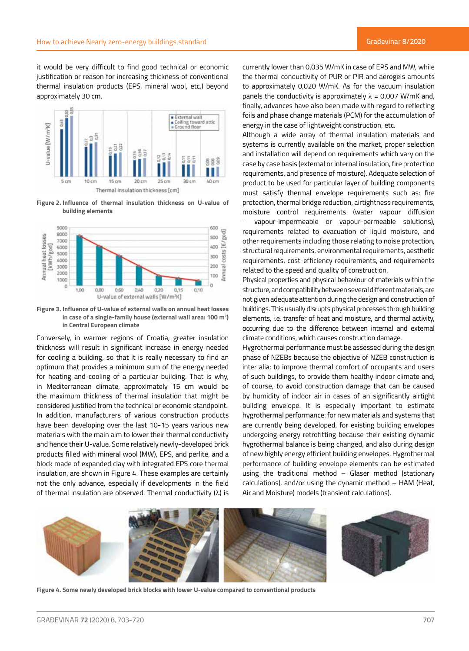it would be very difficult to find good technical or economic justification or reason for increasing thickness of conventional thermal insulation products (EPS, mineral wool, etc.) beyond approximately 30 cm.



**Figure 2. Influence of thermal insulation thickness on U-value of building elements**



**Figure 3. Influence of U-value of external walls on annual heat losses in case of a single-family house (external wall area: 100 m2 ) in Central European climate**

Conversely, in warmer regions of Croatia, greater insulation thickness will result in significant increase in energy needed for cooling a building, so that it is really necessary to find an optimum that provides a minimum sum of the energy needed for heating and cooling of a particular building. That is why, in Mediterranean climate, approximately 15 cm would be the maximum thickness of thermal insulation that might be considered justified from the technical or economic standpoint. In addition, manufacturers of various construction products have been developing over the last 10-15 years various new materials with the main aim to lower their thermal conductivity and hence their U-value. Some relatively newly-developed brick products filled with mineral wool (MW), EPS, and perlite, and a block made of expanded clay with integrated EPS core thermal insulation, are shown in Figure 4. These examples are certainly not the only advance, especially if developments in the field of thermal insulation are observed. Thermal conductivity  $(\lambda)$  is

currently lower than 0,035 W/mK in case of EPS and MW, while the thermal conductivity of PUR or PIR and aerogels amounts to approximately 0,020 W/mK. As for the vacuum insulation panels the conductivity is approximately  $\lambda$  = 0,007 W/mK and, finally, advances have also been made with regard to reflecting foils and phase change materials (PCM) for the accumulation of energy in the case of lightweight construction, etc.

Although a wide array of thermal insulation materials and systems is currently available on the market, proper selection and installation will depend on requirements which vary on the case by case basis (external or internal insulation, fire protection requirements, and presence of moisture). Adequate selection of product to be used for particular layer of building components must satisfy thermal envelope requirements such as: fire protection, thermal bridge reduction, airtightness requirements, moisture control requirements (water vapour diffusion – vapour-impermeable or vapour-permeable solutions), requirements related to evacuation of liquid moisture, and other requirements including those relating to noise protection, structural requirements, environmental requirements, aesthetic requirements, cost-efficiency requirements, and requirements related to the speed and quality of construction.

Physical properties and physical behaviour of materials within the structure, and compatibility between several different materials, are not given adequate attention during the design and construction of buildings. This usually disrupts physical processes through building elements, i.e. transfer of heat and moisture, and thermal activity, occurring due to the difference between internal and external climate conditions, which causes construction damage.

Hygrothermal performance must be assessed during the design phase of NZEBs because the objective of NZEB construction is inter alia: to improve thermal comfort of occupants and users of such buildings, to provide them healthy indoor climate and, of course, to avoid construction damage that can be caused by humidity of indoor air in cases of an significantly airtight building envelope. It is especially important to estimate hygrothermal performance: for new materials and systems that are currently being developed, for existing building envelopes undergoing energy retrofitting because their existing dynamic hygrothermal balance is being changed, and also during design of new highly energy efficient building envelopes. Hygrothermal performance of building envelope elements can be estimated using the traditional method – Glaser method (stationary calculations), and/or using the dynamic method – HAM (Heat, Air and Moisture) models (transient calculations).



**Figure 4. Some newly developed brick blocks with lower U-value compared to conventional products**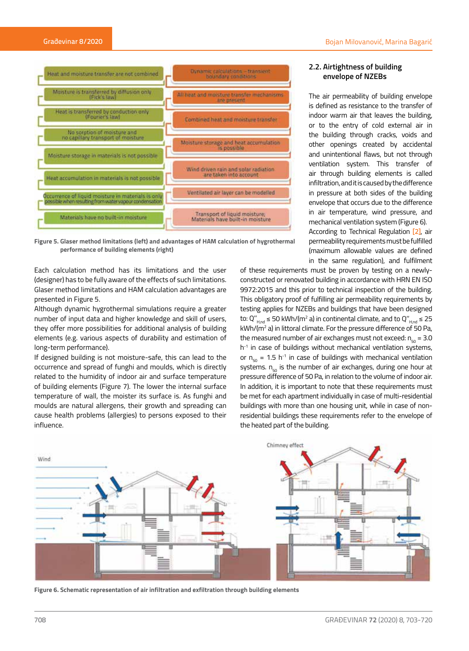

**Figure 5. Glaser method limitations (left) and advantages of HAM calculation of hygrothermal performance of building elements (right)**

Each calculation method has its limitations and the user (designer) has to be fully aware of the effects of such limitations. Glaser method limitations and HAM calculation advantages are presented in Figure 5.

Although dynamic hygrothermal simulations require a greater number of input data and higher knowledge and skill of users, they offer more possibilities for additional analysis of building elements (e.g. various aspects of durability and estimation of long-term performance).

If designed building is not moisture-safe, this can lead to the occurrence and spread of funghi and moulds, which is directly related to the humidity of indoor air and surface temperature of building elements (Figure 7). The lower the internal surface temperature of wall, the moister its surface is. As funghi and moulds are natural allergens, their growth and spreading can cause health problems (allergies) to persons exposed to their influence.

# **2.2. Airtightness of building envelope of NZEBs**

The air permeability of building envelope is defined as resistance to the transfer of indoor warm air that leaves the building, or to the entry of cold external air in the building through cracks, voids and other openings created by accidental and unintentional flaws, but not through ventilation system. This transfer of air through building elements is called infiltration, and it is caused by the difference in pressure at both sides of the building envelope that occurs due to the difference in air temperature, wind pressure, and mechanical ventilation system (Figure 6). According to Technical Regulation [2], air permeability requirements must be fulfilled (maximum allowable values are defined in the same regulation), and fulfilment

of these requirements must be proven by testing on a newlyconstructed or renovated building in accordance with HRN EN ISO 9972:2015 and this prior to technical inspection of the building. This obligatory proof of fulfilling air permeability requirements by testing applies for NZEBs and buildings that have been designed to: Q" $_{H,nd}$  ≤ 50 kWh/(m<sup>2</sup> a) in continental climate, and to Q" $_{H,nd}$  ≤ 25 kWh/(m2 a) in littoral climate. For the pressure difference of 50 Pa, the measured number of air exchanges must not exceed:  $n_{\rm{eq}} = 3.0$ h<sup>-1</sup> in case of buildings without mechanical ventilation systems, or  $n_{50}$  = 1.5 h<sup>-1</sup> in case of buildings with mechanical ventilation systems.  $n_{50}$  is the number of air exchanges, during one hour at pressure difference of 50 Pa, in relation to the volume of indoor air. In addition, it is important to note that these requirements must be met for each apartment individually in case of multi-residential buildings with more than one housing unit, while in case of nonresidential buildings these requirements refer to the envelope of the heated part of the building.



**Figure 6. Schematic representation of air infiltration and exfiltration through building elements**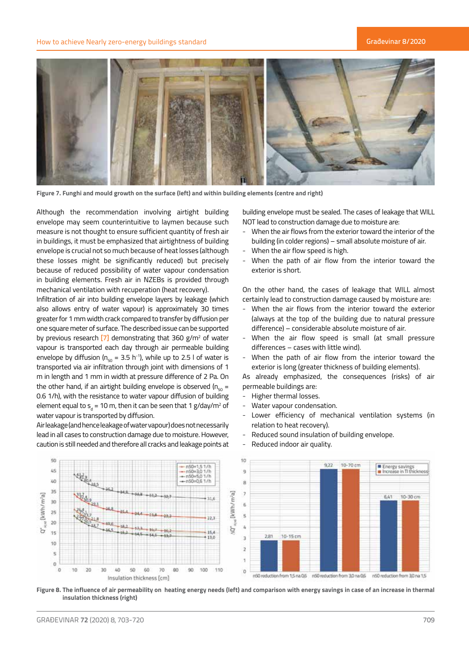#### How to achieve Nearly zero-energy buildings standard



**Figure 7. Funghi and mould growth on the surface (left) and within building elements (centre and right)**

Although the recommendation involving airtight building envelope may seem counterintuitive to laymen because such measure is not thought to ensure sufficient quantity of fresh air in buildings, it must be emphasized that airtightness of building envelope is crucial not so much because of heat losses (although these losses might be significantly reduced) but precisely because of reduced possibility of water vapour condensation in building elements. Fresh air in NZEBs is provided through mechanical ventilation with recuperation (heat recovery).

Infiltration of air into building envelope layers by leakage (which also allows entry of water vapour) is approximately 30 times greater for 1 mm width crack compared to transfer by diffusion per one square meter of surface. The described issue can be supported by previous research  $[7]$  demonstrating that 360 g/m<sup>2</sup> of water vapour is transported each day through air permeable building envelope by diffusion ( $n_{50}$  = 3.5 h<sup>-1</sup>), while up to 2.5 l of water is transported via air infiltration through joint with dimensions of 1 m in length and 1 mm in width at pressure difference of 2 Pa. On the other hand, if an airtight building envelope is observed ( $n_{50}$  = 0.6 1/h), with the resistance to water vapour diffusion of building element equal to s<sub>a</sub> = 10 m, then it can be seen that 1 g/day/m<sup>2</sup> of water vapour is transported by diffusion.

Air leakage (and hence leakage of water vapour) does not necessarily lead in all cases to construction damage due to moisture. However, caution is still needed and therefore all cracks and leakage points at

building envelope must be sealed. The cases of leakage that WILL NOT lead to construction damage due to moisture are:

- When the air flows from the exterior toward the interior of the building (in colder regions) – small absolute moisture of air.
- When the air flow speed is high.
- When the path of air flow from the interior toward the exterior is short.

On the other hand, the cases of leakage that WILL almost certainly lead to construction damage caused by moisture are:

- When the air flows from the interior toward the exterior (always at the top of the building due to natural pressure difference) – considerable absolute moisture of air.
- When the air flow speed is small (at small pressure differences – cases with little wind).
- When the path of air flow from the interior toward the exterior is long (greater thickness of building elements).

As already emphasized, the consequences (risks) of air permeable buildings are:

- Higher thermal losses.
- Water vapour condensation.
- Lower efficiency of mechanical ventilation systems (in relation to heat recovery).
- Reduced sound insulation of building envelope.
- Reduced indoor air quality.



**Figure 8. The influence of air permeability on heating energy needs (left) and comparison with energy savings in case of an increase in thermal insulation thickness (right)**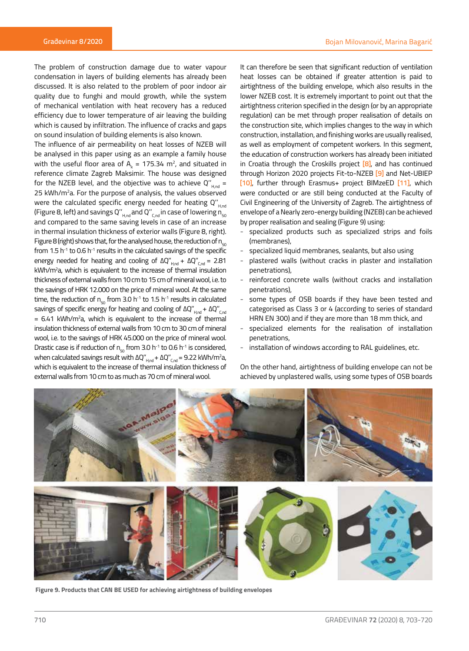The problem of construction damage due to water vapour condensation in layers of building elements has already been discussed. It is also related to the problem of poor indoor air quality due to funghi and mould growth, while the system of mechanical ventilation with heat recovery has a reduced efficiency due to lower temperature of air leaving the building which is caused by infiltration. The influence of cracks and gaps on sound insulation of building elements is also known.

The influence of air permeability on heat losses of NZEB will be analysed in this paper using as an example a family house with the useful floor area of  $A_{k}$  = 175.34 m<sup>2</sup>, and situated in reference climate Zagreb Maksimir. The house was designed for the NZEB level, and the objective was to achieve  $Q^{\prime\prime}_{\text{Hod}}$  = 25 kWh/m<sup>2</sup>a. For the purpose of analysis, the values observed were the calculated specific energy needed for heating  $Q''_{\text{Hdd}}$ (Figure 8, left) and savings Q''<sub>H,nd</sub> and Q''<sub>C,nd</sub> in case of lowering n<sub>50</sub> and compared to the same saving levels in case of an increase in thermal insulation thickness of exterior walls (Figure 8, right). Figure 8 (right) shows that, for the analysed house, the reduction of  $n_{50}$ from 1.5  $h^{-1}$  to 0.6  $h^{-1}$  results in the calculated savings of the specific energy needed for heating and cooling of  $\Delta Q''_{H,\text{nd}} + \Delta Q''_{C,\text{nd}} = 2.81$ kWh/m2 a, which is equivalent to the increase of thermal insulation thickness of external walls from 10 cm to 15 cm of mineral wool, i.e. to the savings of HRK 12.000 on the price of mineral wool. At the same time, the reduction of  $n_{50}$  from 3.0 h<sup>-1</sup> to 1.5 h<sup>-1</sup> results in calculated savings of specific energy for heating and cooling of ΔQ" $_{\rm{Hnd}}$  + ΔQ" $_{\rm{Cnd}}$ = 6.41 kWh/m2 a, which is equivalent to the increase of thermal insulation thickness of external walls from 10 cm to 30 cm of mineral wool, i.e. to the savings of HRK 45.000 on the price of mineral wool. Drastic case is if reduction of  $n_{50}$  from 3.0 h<sup>-1</sup> to 0.6 h<sup>-1</sup> is considered, when calculated savings result with ΔQ"<sub>H,nd</sub> + ΔQ"<sub>C,nd</sub> = 9.22 kWh/m<sup>2</sup>a, which is equivalent to the increase of thermal insulation thickness of external walls from 10 cm to as much as 70 cm of mineral wool.

It can therefore be seen that significant reduction of ventilation heat losses can be obtained if greater attention is paid to airtightness of the building envelope, which also results in the lower NZEB cost. It is extremely important to point out that the airtightness criterion specified in the design (or by an appropriate regulation) can be met through proper realisation of details on the construction site, which implies changes to the way in which construction, installation, and finishing works are usually realised, as well as employment of competent workers. In this segment, the education of construction workers has already been initiated in Croatia through the Croskills project [8], and has continued through Horizon 2020 projects Fit-to-NZEB [9] and Net-UBIEP [10], further through Erasmus+ project BIMzeED [11], which were conducted or are still being conducted at the Faculty of Civil Engineering of the University of Zagreb. The airtightness of envelope of a Nearly zero-energy building (NZEB) can be achieved by proper realisation and sealing (Figure 9) using:

- specialized products such as specialized strips and foils (membranes),
- specialized liquid membranes, sealants, but also using
- plastered walls (without cracks in plaster and installation penetrations),
- reinforced concrete walls (without cracks and installation penetrations),
- some types of OSB boards if they have been tested and categorised as Class 3 or 4 (according to series of standard HRN EN 300) and if they are more than 18 mm thick, and
- specialized elements for the realisation of installation penetrations,
- installation of windows according to RAL guidelines, etc.

On the other hand, airtightness of building envelope can not be achieved by unplastered walls, using some types of OSB boards



**Figure 9. Products that CAN BE USED for achieving airtightness of building envelopes**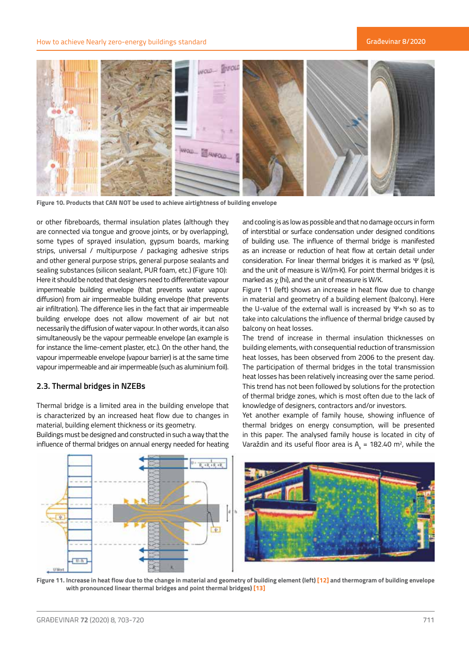

**Figure 10. Products that CAN NOT be used to achieve airtightness of building envelope**

or other fibreboards, thermal insulation plates (although they are connected via tongue and groove joints, or by overlapping), some types of sprayed insulation, gypsum boards, marking strips, universal / multipurpose / packaging adhesive strips and other general purpose strips, general purpose sealants and sealing substances (silicon sealant, PUR foam, etc.) (Figure 10): Here it should be noted that designers need to differentiate vapour impermeable building envelope (that prevents water vapour diffusion) from air impermeable building envelope (that prevents air infiltration). The difference lies in the fact that air impermeable building envelope does not allow movement of air but not necessarily the diffusion of water vapour. In other words, it can also simultaneously be the vapour permeable envelope (an example is for instance the lime-cement plaster, etc.). On the other hand, the vapour impermeable envelope (vapour barrier) is at the same time vapour impermeable and air impermeable (such as aluminium foil).

# **2.3. Thermal bridges in NZEBs**

Thermal bridge is a limited area in the building envelope that is characterized by an increased heat flow due to changes in material, building element thickness or its geometry.

Buildings must be designed and constructed in such a way that the influence of thermal bridges on annual energy needed for heating

and cooling is as low as possible and that no damage occurs in form of interstitial or surface condensation under designed conditions of building use. The influence of thermal bridge is manifested as an increase or reduction of heat flow at certain detail under consideration. For linear thermal bridges it is marked as Ψ (psi), and the unit of measure is W/(m·K). For point thermal bridges it is marked as  $\chi$  (hi), and the unit of measure is W/K.

Figure 11 (left) shows an increase in heat flow due to change in material and geometry of a building element (balcony). Here the U-value of the external wall is increased by Ψ×h so as to take into calculations the influence of thermal bridge caused by balcony on heat losses.

The trend of increase in thermal insulation thicknesses on building elements, with consequential reduction of transmission heat losses, has been observed from 2006 to the present day. The participation of thermal bridges in the total transmission heat losses has been relatively increasing over the same period. This trend has not been followed by solutions for the protection of thermal bridge zones, which is most often due to the lack of knowledge of designers, contractors and/or investors.

Yet another example of family house, showing influence of thermal bridges on energy consumption, will be presented in this paper. The analysed family house is located in city of Varaždin and its useful floor area is  $A_k = 182.40$  m<sup>2</sup>, while the



**Figure 11. Increase in heat flow due to the change in material and geometry of building element (left) [12] and thermogram of building envelope with pronounced linear thermal bridges and point thermal bridges) [13]**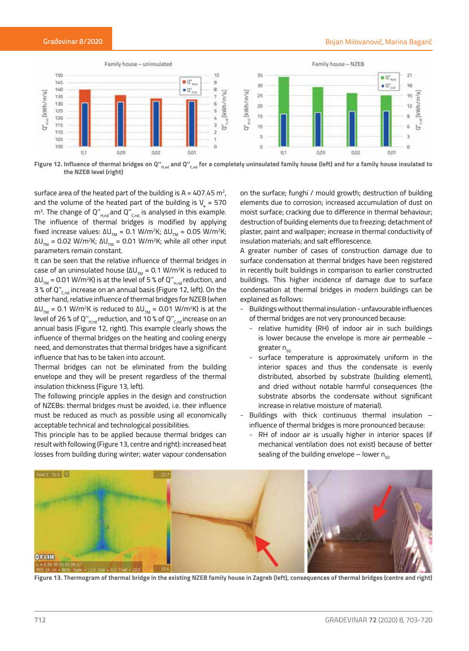

Figure 12. Influence of thermal bridges on Q"<sub>H,nd</sub> and Q"<sub>C,nd</sub> for a completely uninsulated family house (left) and for a family house insulated to **the NZEB level (right)** 

surface area of the heated part of the building is A = 407.45 m<sup>2</sup>, and the volume of the heated part of the building is V<sub>e</sub> = 570 m<sup>3</sup>. The change of Q''<sub>H,nd</sub> and Q''<sub>C,nd,</sub> is analysed in this example. The influence of thermal bridges is modified by applying fixed increase values: ΔU<sub>τм</sub> = 0.1 W/m<sup>2</sup>K; ΔU<sub>τм</sub> = 0.05 W/m<sup>2</sup>K; ΔU<sub>TM</sub> = 0.02 W/m<sup>2</sup>K; ΔU<sub>TM</sub> = 0.01 W/m<sup>2</sup>K; while all other input parameters remain constant.

It can be seen that the relative influence of thermal bridges in case of an uninsulated house (ΔU $_{_{\rm TM}}$  = 0.1 W/m²K is reduced to ΔU $_{_{\text{\tiny{TM}}}}$  = 0.01 W/m²K) is at the level of 5 % of Q''<sub>H,nd</sub> reduction, and 3 % of  $Q''_{\text{end}}$  increase on an annual basis (Figure 12, left). On the other hand, relative influence of thermal bridges for NZEB (when ΔU<sub>TM</sub> = 0.1 W/m<sup>2</sup>K is reduced to ΔU<sub>TM</sub> = 0.01 W/m<sup>2</sup>K) is at the level of 26 % of Q" $_{\rm{H,nd}}$  reduction, and 10 % of Q" $_{\rm{C,nd}}$  increase on an annual basis (Figure 12, right). This example clearly shows the influence of thermal bridges on the heating and cooling energy need, and demonstrates that thermal bridges have a significant influence that has to be taken into account.

Thermal bridges can not be eliminated from the building envelope and they will be present regardless of the thermal insulation thickness (Figure 13, left).

The following principle applies in the design and construction of NZEBs: thermal bridges must be avoided, i.e. their influence must be reduced as much as possible using all economically acceptable technical and technological possibilities.

This principle has to be applied because thermal bridges can result with following (Figure 13, centre and right): increased heat losses from building during winter; water vapour condensation

on the surface; funghi / mould growth; destruction of building elements due to corrosion; increased accumulation of dust on moist surface; cracking due to difference in thermal behaviour; destruction of building elements due to freezing; detachment of plaster, paint and wallpaper; increase in thermal conductivity of insulation materials; and salt efflorescence.

A greater number of cases of construction damage due to surface condensation at thermal bridges have been registered in recently built buildings in comparison to earlier constructed buildings. This higher incidence of damage due to surface condensation at thermal bridges in modern buildings can be explained as follows:

- Buildings without thermal insulation unfavourable influences of thermal bridges are not very pronounced because:
	- relative humidity (RH) of indoor air in such buildings is lower because the envelope is more air permeable – greater  $n_{50}$
	- surface temperature is approximately uniform in the interior spaces and thus the condensate is evenly distributed, absorbed by substrate (building element), and dried without notable harmful consequences (the substrate absorbs the condensate without significant increase in relative moisture of material).
- Buildings with thick continuous thermal insulation influence of thermal bridges is more pronounced because:
	- RH of indoor air is usually higher in interior spaces (if mechanical ventilation does not exist) because of better sealing of the building envelope – lower  $n_{50}$



**Figure 13. Thermogram of thermal bridge in the existing NZEB family house in Zagreb (left), consequences of thermal bridges (centre and right)**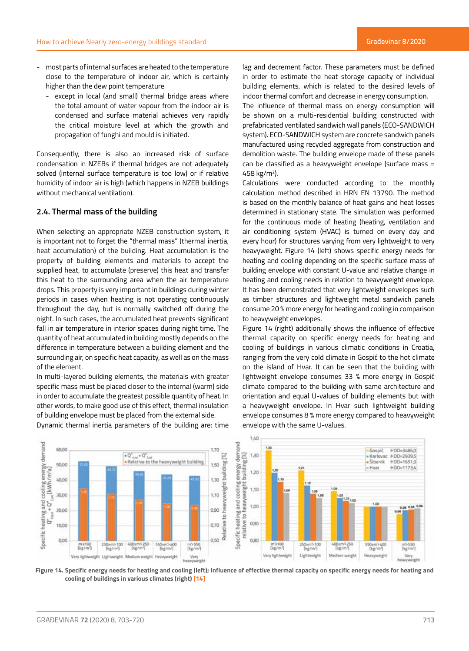- most parts of internal surfaces are heated to the temperature close to the temperature of indoor air, which is certainly higher than the dew point temperature
	- except in local (and small) thermal bridge areas where the total amount of water vapour from the indoor air is condensed and surface material achieves very rapidly the critical moisture level at which the growth and propagation of funghi and mould is initiated.

Consequently, there is also an increased risk of surface condensation in NZEBs if thermal bridges are not adequately solved (internal surface temperature is too low) or if relative humidity of indoor air is high (which happens in NZEB buildings without mechanical ventilation).

# **2.4. Thermal mass of the building**

When selecting an appropriate NZEB construction system, it is important not to forget the "thermal mass" (thermal inertia, heat accumulation) of the building. Heat accumulation is the property of building elements and materials to accept the supplied heat, to accumulate (preserve) this heat and transfer this heat to the surrounding area when the air temperature drops. This property is very important in buildings during winter periods in cases when heating is not operating continuously throughout the day, but is normally switched off during the night. In such cases, the accumulated heat prevents significant fall in air temperature in interior spaces during night time. The quantity of heat accumulated in building mostly depends on the difference in temperature between a building element and the surrounding air, on specific heat capacity, as well as on the mass of the element.

In multi-layered building elements, the materials with greater specific mass must be placed closer to the internal (warm) side in order to accumulate the greatest possible quantity of heat. In other words, to make good use of this effect, thermal insulation of building envelope must be placed from the external side.

Dynamic thermal inertia parameters of the building are: time

lag and decrement factor. These parameters must be defined in order to estimate the heat storage capacity of individual building elements, which is related to the desired levels of indoor thermal comfort and decrease in energy consumption.

The influence of thermal mass on energy consumption will be shown on a multi-residential building constructed with prefabricated ventilated sandwich wall panels (ECO-SANDWICH system). ECO-SANDWICH system are concrete sandwich panels manufactured using recycled aggregate from construction and demolition waste. The building envelope made of these panels can be classified as a heavyweight envelope (surface mass = 458 kg/m2 ).

Calculations were conducted according to the monthly calculation method described in HRN EN 13790. The method is based on the monthly balance of heat gains and heat losses determined in stationary state. The simulation was performed for the continuous mode of heating (heating, ventilation and air conditioning system (HVAC) is turned on every day and every hour) for structures varying from very lightweight to very heavyweight. Figure 14 (left) shows specific energy needs for heating and cooling depending on the specific surface mass of building envelope with constant U-value and relative change in heating and cooling needs in relation to heavyweight envelope. It has been demonstrated that very lightweight envelopes such as timber structures and lightweight metal sandwich panels consume 20 % more energy for heating and cooling in comparison to heavyweight envelopes.

Figure 14 (right) additionally shows the influence of effective thermal capacity on specific energy needs for heating and cooling of buildings in various climatic conditions in Croatia, ranging from the very cold climate in Gospić to the hot climate on the island of Hvar. It can be seen that the building with lightweight envelope consumes 33 % more energy in Gospić climate compared to the building with same architecture and orientation and equal U-values of building elements but with a heavyweight envelope. In Hvar such lightweight building envelope consumes 8 % more energy compared to heavyweight envelope with the same U-values.



**Figure 14. Specific energy needs for heating and cooling (left); Influence of effective thermal capacity on specific energy needs for heating and cooling of buildings in various climates (right) [14]**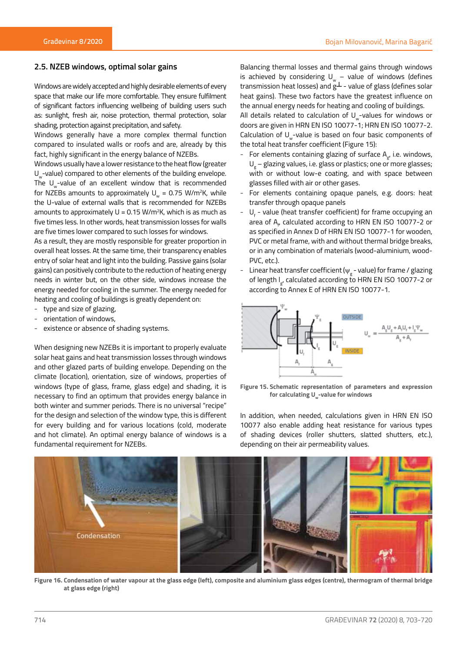#### **2.5. NZEB windows, optimal solar gains**

Windows are widely accepted and highly desirable elements of every space that make our life more comfortable. They ensure fulfilment of significant factors influencing wellbeing of building users such as: sunlight, fresh air, noise protection, thermal protection, solar shading, protection against precipitation, and safety.

Windows generally have a more complex thermal function compared to insulated walls or roofs and are, already by this fact, highly significant in the energy balance of NZEBs.

Windows usually have a lower resistance to the heat flow (greater U<sub>w</sub>-value) compared to other elements of the building envelope. The  $U_{\omega}$ -value of an excellent window that is recommended for NZEBs amounts to approximately  $\mathsf{U}_{_{\mathrm{w}}}$  = 0.75 W/m²K, while the U-value of external walls that is recommended for NZEBs amounts to approximately  $U = 0.15$  W/m<sup>2</sup>K, which is as much as five times less. In other words, heat transmission losses for walls are five times lower compared to such losses for windows.

As a result, they are mostly responsible for greater proportion in overall heat losses. At the same time, their transparency enables entry of solar heat and light into the building. Passive gains (solar gains) can positively contribute to the reduction of heating energy needs in winter but, on the other side, windows increase the energy needed for cooling in the summer. The energy needed for heating and cooling of buildings is greatly dependent on:

- type and size of glazing,
- orientation of windows,
- existence or absence of shading systems.

When designing new NZEBs it is important to properly evaluate solar heat gains and heat transmission losses through windows and other glazed parts of building envelope. Depending on the climate (location), orientation, size of windows, properties of windows (type of glass, frame, glass edge) and shading, it is necessary to find an optimum that provides energy balance in both winter and summer periods. There is no universal "recipe" for the design and selection of the window type, this is different for every building and for various locations (cold, moderate and hot climate). An optimal energy balance of windows is a fundamental requirement for NZEBs.

Balancing thermal losses and thermal gains through windows is achieved by considering  $U_w -$  value of windows (defines transmission heat losses) and  $g^{\perp}$  - value of glass (defines solar heat gains). These two factors have the greatest influence on the annual energy needs for heating and cooling of buildings.

All details related to calculation of  $U$  -values for windows or doors are given in HRN EN ISO 10077-1; HRN EN ISO 10077-2. Calculation of U<sub>w</sub>-value is based on four basic components of the total heat transfer coefficient (Figure 15):

- For elements containing glazing of surface  $A_{gt}$ , i.e. windows,  $U_{\rm g}$  – glazing values, i.e. glass or plastics; one or more glasses; with or without low-e coating, and with space between glasses filled with air or other gases.
- For elements containing opaque panels, e.g. doors: heat transfer through opaque panels
- $\mathsf{U}_{\mathsf{f}}$  value (heat transfer coefficient) for frame occupying an area of  $A_{\mu}$  calculated according to HRN EN ISO 10077-2 or as specified in Annex D of HRN EN ISO 10077-1 for wooden, PVC or metal frame, with and without thermal bridge breaks, or in any combination of materials (wood-aluminium, wood-PVC, etc.).
- Linear heat transfer coefficient ( $\psi_{\rm g}$  value) for frame / glazing of length l<sub>g</sub>, calculated according to HRN EN ISO 10077-2 or according to Annex E of HRN EN ISO 10077-1.



**Figure 15. Schematic representation of parameters and expression**  for calculating U<sub>w</sub>-value for windows

In addition, when needed, calculations given in HRN EN ISO 10077 also enable adding heat resistance for various types of shading devices (roller shutters, slatted shutters, etc.), depending on their air permeability values.



**Figure 16. Condensation of water vapour at the glass edge (left), composite and aluminium glass edges (centre), thermogram of thermal bridge at glass edge (right)**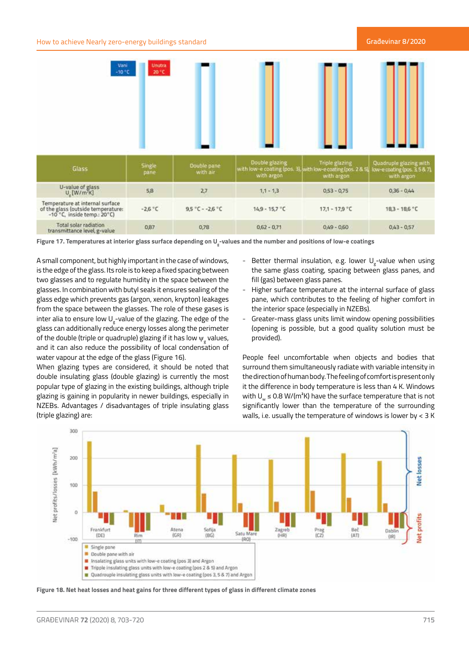

**Figure 17. Temperatures at interior glass surface depending on Ug -values and the number and positions of low-e coatings**

A small component, but highly important in the case of windows, is the edge of the glass. Its role is to keep a fixed spacing between two glasses and to regulate humidity in the space between the glasses. In combination with butyl seals it ensures sealing of the glass edge which prevents gas (argon, xenon, krypton) leakages from the space between the glasses. The role of these gases is inter alia to ensure low  $\mathsf{U}_{\mathsf{g}}$ -value of the glazing. The edge of the glass can additionally reduce energy losses along the perimeter of the double (triple or quadruple) glazing if it has low  $\psi_{\rm g}$  values, and it can also reduce the possibility of local condensation of water vapour at the edge of the glass (Figure 16).

When glazing types are considered, it should be noted that double insulating glass (double glazing) is currently the most popular type of glazing in the existing buildings, although triple glazing is gaining in popularity in newer buildings, especially in NZEBs. Advantages / disadvantages of triple insulating glass (triple glazing) are:

- Better thermal insulation, e.g. lower  $U_{\rm g}^{\phantom{\dag}}$ -value when using the same glass coating, spacing between glass panes, and fill (gas) between glass panes.
- Higher surface temperature at the internal surface of glass pane, which contributes to the feeling of higher comfort in the interior space (especially in NZEBs).
- Greater-mass glass units limit window opening possibilities (opening is possible, but a good quality solution must be provided).

People feel uncomfortable when objects and bodies that surround them simultaneously radiate with variable intensity in the direction of human body. The feeling of comfort is present only it the difference in body temperature is less than 4 K. Windows with  $U_w \le 0.8$  W/(m<sup>2</sup>K) have the surface temperature that is not significantly lower than the temperature of the surrounding walls, i.e. usually the temperature of windows is lower by < 3 K



**Figure 18. Net heat losses and heat gains for three different types of glass in different climate zones**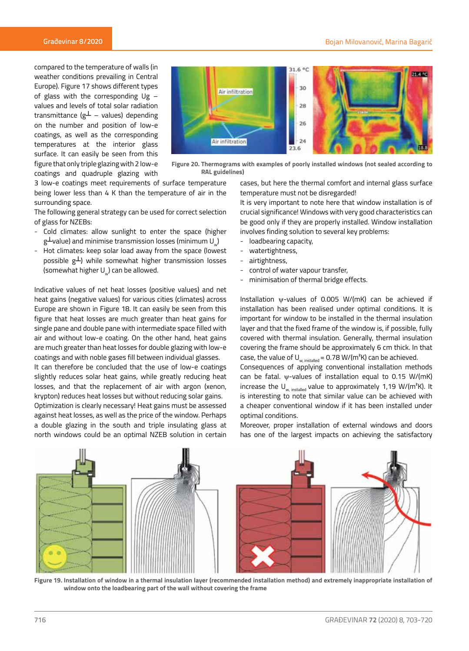compared to the temperature of walls (in weather conditions prevailing in Central Europe). Figure 17 shows different types of glass with the corresponding  $Ug$ values and levels of total solar radiation transmittance (g $\perp$  – values) depending on the number and position of low-e coatings, as well as the corresponding temperatures at the interior glass surface. It can easily be seen from this figure that only triple glazing with 2 low-e coatings and quadruple glazing with



**Figure 20. Thermograms with examples of poorly installed windows (not sealed according to RAL guidelines)**

3 low-e coatings meet requirements of surface temperature being lower less than 4 K than the temperature of air in the surrounding space.

The following general strategy can be used for correct selection of glass for NZEBs:

- Cold climates: allow sunlight to enter the space (higher g $\perp$ value) and minimise transmission losses (minimum U $_{\tiny \omega}$ )
- Hot climates: keep solar load away from the space (lowest possible  $g\perp$ ) while somewhat higher transmission losses (somewhat higher Uu) can be allowed.

Indicative values of net heat losses (positive values) and net heat gains (negative values) for various cities (climates) across Europe are shown in Figure 18. It can easily be seen from this figure that heat losses are much greater than heat gains for single pane and double pane with intermediate space filled with air and without low-e coating. On the other hand, heat gains are much greater than heat losses for double glazing with low-e coatings and with noble gases fill between individual glasses.

It can therefore be concluded that the use of low-e coatings slightly reduces solar heat gains, while greatly reducing heat losses, and that the replacement of air with argon (xenon, krypton) reduces heat losses but without reducing solar gains.

Optimization is clearly necessary! Heat gains must be assessed against heat losses, as well as the price of the window. Perhaps a double glazing in the south and triple insulating glass at north windows could be an optimal NZEB solution in certain

cases, but here the thermal comfort and internal glass surface temperature must not be disregarded!

It is very important to note here that window installation is of crucial significance! Windows with very good characteristics can be good only if they are properly installed. Window installation involves finding solution to several key problems:

- loadbearing capacity,
- watertightness,
- airtightness,
- control of water vapour transfer,
- minimisation of thermal bridge effects.

Installation ψ-values of 0.005 W/(mK) can be achieved if installation has been realised under optimal conditions. It is important for window to be installed in the thermal insulation layer and that the fixed frame of the window is, if possible, fully covered with thermal insulation. Generally, thermal insulation covering the frame should be approximately 6 cm thick. In that case, the value of  $U_{w, \text{installed}} = 0.78 \text{ W/(m}^2 \text{K)}$  can be achieved.

Consequences of applying conventional installation methods can be fatal. ψ-values of installation equal to 0.15 W/(mK) increase the  $U_{w, \text{ installed}}$  value to approximately 1,19 W/(m<sup>2</sup>K). It is interesting to note that similar value can be achieved with a cheaper conventional window if it has been installed under optimal conditions.

Moreover, proper installation of external windows and doors has one of the largest impacts on achieving the satisfactory



**Figure 19. Installation of window in a thermal insulation layer (recommended installation method) and extremely inappropriate installation of window onto the loadbearing part of the wall without covering the frame**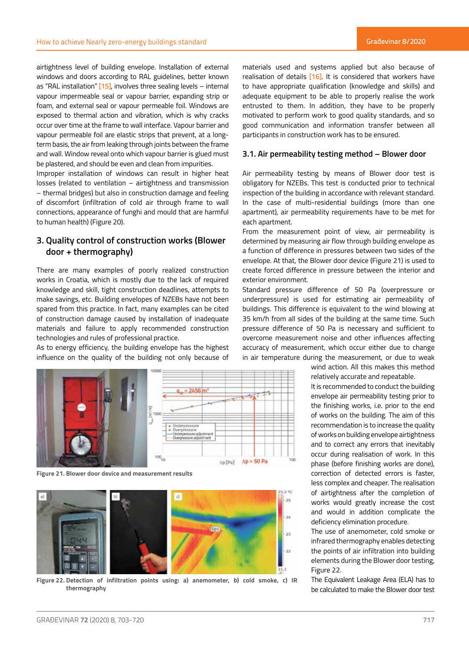airtightness level of building envelope. Installation of external windows and doors according to RAL guidelines, better known as "RAL installation"  $[15]$ , involves three sealing levels – internal vapour impermeable seal or vapour barrier, expanding strip or foam, and external seal or vapour permeable foil. Windows are exposed to thermal action and vibration, which is why cracks occur over time at the frame to wall interface. Vapour barrier and vapour permeable foil are elastic strips that prevent, at a longterm basis, the air from leaking through joints between the frame and wall. Window reveal onto which vapour barrier is glued must be plastered, and should be even and clean from impurities.

Improper installation of windows can result in higher heat losses (related to ventilation – airtightness and transmission – thermal bridges) but also in construction damage and feeling of discomfort (infiltration of cold air through frame to wall connections, appearance of funghi and mould that are harmful to human health) (Figure 20).

# **3. Quality control of construction works (Blower door + thermography)**

There are many examples of poorly realized construction works in Croatia, which is mostly due to the lack of required knowledge and skill, tight construction deadlines, attempts to make savings, etc. Building envelopes of NZEBs have not been spared from this practice. In fact, many examples can be cited of construction damage caused by installation of inadequate materials and failure to apply recommended construction technologies and rules of professional practice.

As to energy efficiency, the building envelope has the highest influence on the quality of the building not only because of



**Figure 21. Blower door device and measurement results**



**Figure 22. Detection of infiltration points using: a) anemometer, b) cold smoke, c) IR thermography**

materials used and systems applied but also because of realisation of details [16]. It is considered that workers have to have appropriate qualification (knowledge and skills) and adequate equipment to be able to properly realise the work entrusted to them. In addition, they have to be properly motivated to perform work to good quality standards, and so good communication and information transfer between all participants in construction work has to be ensured.

# **3.1. Air permeability testing method – Blower door**

Air permeability testing by means of Blower door test is obligatory for NZEBs. This test is conducted prior to technical inspection of the building in accordance with relevant standard. In the case of multi-residential buildings (more than one apartment), air permeability requirements have to be met for each apartment.

From the measurement point of view, air permeability is determined by measuring air flow through building envelope as a function of difference in pressures between two sides of the envelope. At that, the Blower door device (Figure 21) is used to create forced difference in pressure between the interior and exterior environment.

Standard pressure difference of 50 Pa (overpressure or underpressure) is used for estimating air permeability of buildings. This difference is equivalent to the wind blowing at 35 km/h from all sides of the building at the same time. Such pressure difference of 50 Pa is necessary and sufficient to overcome measurement noise and other influences affecting accuracy of measurement, which occur either due to change in air temperature during the measurement, or due to weak

> wind action. All this makes this method relatively accurate and repeatable.

> It is recommended to conduct the building envelope air permeability testing prior to the finishing works, i.e. prior to the end of works on the building. The aim of this recommendation is to increase the quality of works on building envelope airtightness and to correct any errors that inevitably occur during realisation of work. In this phase (before finishing works are done), correction of detected errors is faster, less complex and cheaper. The realisation of airtightness after the completion of works would greatly increase the cost and would in addition complicate the deficiency elimination procedure.

> The use of anemometer, cold smoke or infrared thermography enables detecting the points of air infiltration into building elements during the Blower door testing, Figure 22.

> The Equivalent Leakage Area (ELA) has to be calculated to make the Blower door test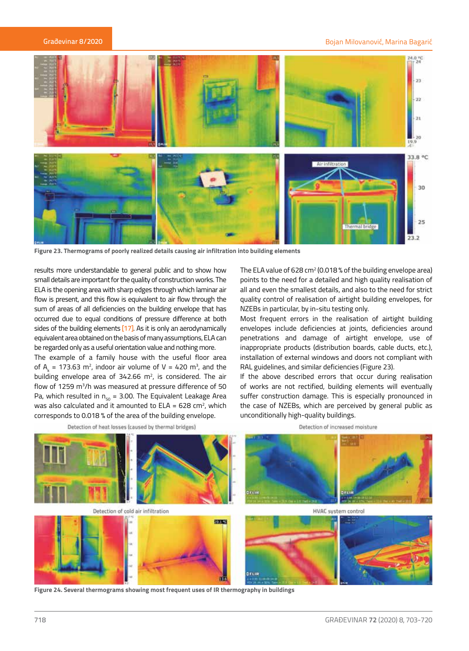#### Bojan Milovanović, Marina Bagarić



**Figure 23. Thermograms of poorly realized details causing air infiltration into building elements**

results more understandable to general public and to show how small details are important for the quality of construction works. The ELA is the opening area with sharp edges through which laminar air flow is present, and this flow is equivalent to air flow through the sum of areas of all deficiencies on the building envelope that has occurred due to equal conditions of pressure difference at both sides of the building elements [17]. As it is only an aerodynamically equivalent area obtained on the basis of many assumptions, ELA can be regarded only as a useful orientation value and nothing more.

The example of a family house with the useful floor area of  $A_k$  = 173.63 m<sup>2</sup>, indoor air volume of V = 420 m<sup>3</sup>, and the building envelope area of 342.66  $m^2$ , is considered. The air flow of 1259 m<sup>3</sup>/h was measured at pressure difference of 50 Pa, which resulted in  $n_{50} = 3.00$ . The Equivalent Leakage Area was also calculated and it amounted to  $ELA = 628$  cm<sup>2</sup>, which corresponds to 0.018 % of the area of the building envelope.

Detection of heat losses (caused by thermal bridges)

The ELA value of 628 cm<sup>2</sup> (0.018 % of the building envelope area) points to the need for a detailed and high quality realisation of all and even the smallest details, and also to the need for strict quality control of realisation of airtight building envelopes, for NZEBs in particular, by in-situ testing only.

Most frequent errors in the realisation of airtight building envelopes include deficiencies at joints, deficiencies around penetrations and damage of airtight envelope, use of inappropriate products (distribution boards, cable ducts, etc.), installation of external windows and doors not compliant with RAL guidelines, and similar deficiencies (Figure 23).

If the above described errors that occur during realisation of works are not rectified, building elements will eventually suffer construction damage. This is especially pronounced in the case of NZEBs, which are perceived by general public as unconditionally high-quality buildings.

Detection of increased moisture



**Figure 24. Several thermograms showing most frequent uses of IR thermography in buildings**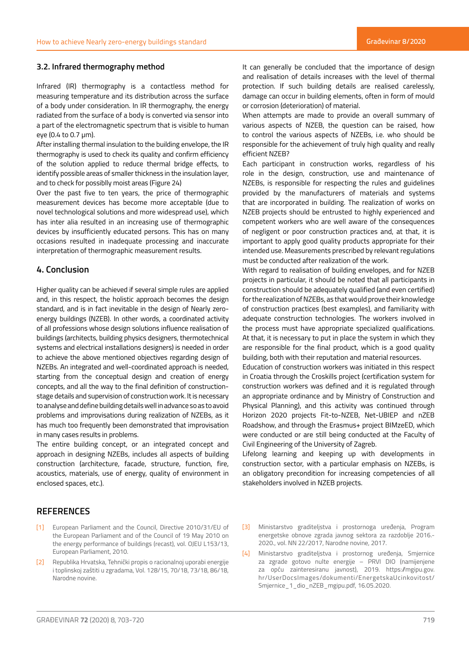# **3.2. Infrared thermography method**

Infrared (IR) thermography is a contactless method for measuring temperature and its distribution across the surface of a body under consideration. In IR thermography, the energy radiated from the surface of a body is converted via sensor into a part of the electromagnetic spectrum that is visible to human eye (0.4 to 0.7 µm).

After installing thermal insulation to the building envelope, the IR thermography is used to check its quality and confirm efficiency of the solution applied to reduce thermal bridge effects, to identify possible areas of smaller thickness in the insulation layer, and to check for possiblly moist areas (Figure 24)

Over the past five to ten years, the price of thermographic measurement devices has become more acceptable (due to novel technological solutions and more widespread use), which has inter alia resulted in an increasing use of thermographic devices by insufficiently educated persons. This has on many occasions resulted in inadequate processing and inaccurate interpretation of thermographic measurement results.

# **4. Conclusion**

Higher quality can be achieved if several simple rules are applied and, in this respect, the holistic approach becomes the design standard, and is in fact inevitable in the design of Nearly zeroenergy buildings (NZEB). In other words, a coordinated activity of all professions whose design solutions influence realisation of buildings (architects, building physics designers, thermotechnical systems and electrical installations designers) is needed in order to achieve the above mentioned objectives regarding design of NZEBs. An integrated and well-coordinated approach is needed, starting from the conceptual design and creation of energy concepts, and all the way to the final definition of constructionstage details and supervision of construction work. It is necessary to analyse and define building details well in advance so as to avoid problems and improvisations during realization of NZEBs, as it has much too frequently been demonstrated that improvisation in many cases results in problems.

The entire building concept, or an integrated concept and approach in designing NZEBs, includes all aspects of building construction (architecture, facade, structure, function, fire, acoustics, materials, use of energy, quality of environment in enclosed spaces, etc.).

# It can generally be concluded that the importance of design and realisation of details increases with the level of thermal protection. If such building details are realised carelessly, damage can occur in building elements, often in form of mould or corrosion (deterioration) of material.

When attempts are made to provide an overall summary of various aspects of NZEB, the question can be raised, how to control the various aspects of NZEBs, i.e. who should be responsible for the achievement of truly high quality and really efficient NZEB?

Each participant in construction works, regardless of his role in the design, construction, use and maintenance of NZEBs, is responsible for respecting the rules and guidelines provided by the manufacturers of materials and systems that are incorporated in building. The realization of works on NZEB projects should be entrusted to highly experienced and competent workers who are well aware of the consequences of negligent or poor construction practices and, at that, it is important to apply good quality products appropriate for their intended use. Measurements prescribed by relevant regulations must be conducted after realization of the work.

With regard to realisation of building envelopes, and for NZEB projects in particular, it should be noted that all participants in construction should be adequately qualified (and even certified) for the realization of NZEBs, as that would prove their knowledge of construction practices (best examples), and familiarity with adequate construction technologies. The workers involved in the process must have appropriate specialized qualifications. At that, it is necessary to put in place the system in which they are responsible for the final product, which is a good quality building, both with their reputation and material resources.

Education of construction workers was initiated in this respect in Croatia through the Croskills project (certification system for construction workers was defined and it is regulated through an appropriate ordinance and by Ministry of Construction and Physical Planning), and this activity was continued through Horizon 2020 projects Fit-to-NZEB, Net-UBIEP and nZEB Roadshow, and through the Erasmus+ project BIMzeED, which were conducted or are still being conducted at the Faculty of Civil Engineering of the University of Zagreb.

Lifelong learning and keeping up with developments in construction sector, with a particular emphasis on NZEBs, is an obligatory precondition for increasing competencies of all stakeholders involved in NZEB projects.

# **REFERENCES**

- [1] European Parliament and the Council, Directive 2010/31/EU of the European Parliament and of the Council of 19 May 2010 on the energy performance of buildings (recast), vol. OJEU L153/13, European Parliament, 2010.
- [2] Republika Hrvatska, Tehnički propis o racionalnoj uporabi energije i toplinskoj zaštiti u zgradama, Vol. 128/15, 70/18, 73/18, 86/18, Narodne novine.
- [3] Ministarstvo graditeljstva i prostornoga uređenja, Program energetske obnove zgrada javnog sektora za razdoblje 2016.- 2020., vol. NN 22/2017, Narodne novine, 2017.
- [4] Ministarstvo graditeljstva i prostornog uređenja, Smjernice za zgrade gotovo nulte energije – PRVI DIO (namijenjene za opću zainteresiranu javnost), 2019. https://mgipu.gov. hr/UserDocsImages/dokumenti/EnergetskaUcinkovitost/ Smjernice\_1\_dio\_nZEB\_mgipu.pdf, 16.05.2020.